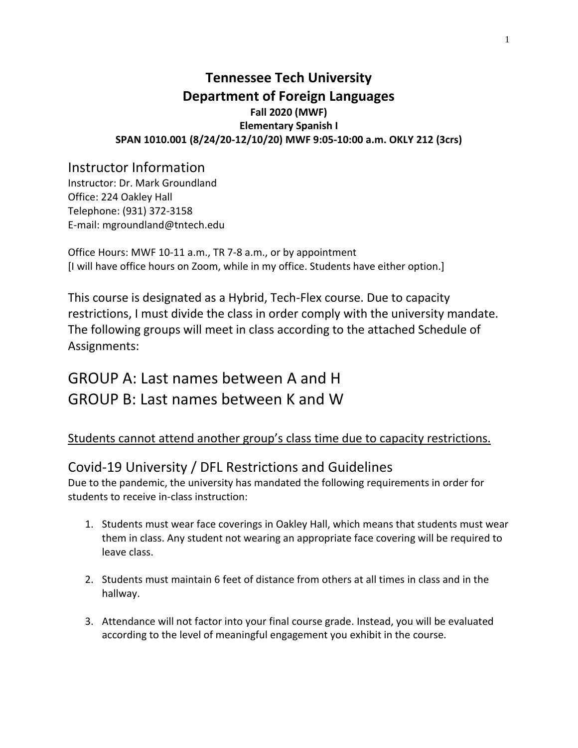# **Tennessee Tech University Department of Foreign Languages Fall 2020 (MWF) Elementary Spanish I SPAN 1010.001 (8/24/20-12/10/20) MWF 9:05-10:00 a.m. OKLY 212 (3crs)**

# Instructor Information

Instructor: Dr. Mark Groundland Office: 224 Oakley Hall Telephone: (931) 372-3158 E-mail: mgroundland@tntech.edu

Office Hours: MWF 10-11 a.m., TR 7-8 a.m., or by appointment [I will have office hours on Zoom, while in my office. Students have either option.]

This course is designated as a Hybrid, Tech-Flex course. Due to capacity restrictions, I must divide the class in order comply with the university mandate. The following groups will meet in class according to the attached Schedule of Assignments:

# GROUP A: Last names between A and H GROUP B: Last names between K and W

# Students cannot attend another group's class time due to capacity restrictions.

# Covid-19 University / DFL Restrictions and Guidelines

Due to the pandemic, the university has mandated the following requirements in order for students to receive in-class instruction:

- 1. Students must wear face coverings in Oakley Hall, which means that students must wear them in class. Any student not wearing an appropriate face covering will be required to leave class.
- 2. Students must maintain 6 feet of distance from others at all times in class and in the hallway.
- 3. Attendance will not factor into your final course grade. Instead, you will be evaluated according to the level of meaningful engagement you exhibit in the course.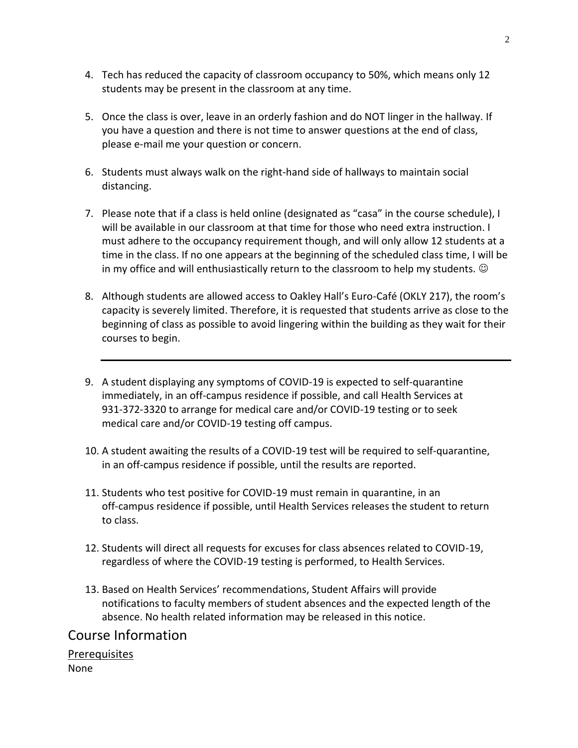- 4. Tech has reduced the capacity of classroom occupancy to 50%, which means only 12 students may be present in the classroom at any time.
- 5. Once the class is over, leave in an orderly fashion and do NOT linger in the hallway. If you have a question and there is not time to answer questions at the end of class, please e-mail me your question or concern.
- 6. Students must always walk on the right-hand side of hallways to maintain social distancing.
- 7. Please note that if a class is held online (designated as "casa" in the course schedule), I will be available in our classroom at that time for those who need extra instruction. I must adhere to the occupancy requirement though, and will only allow 12 students at a time in the class. If no one appears at the beginning of the scheduled class time, I will be in my office and will enthusiastically return to the classroom to help my students.  $\odot$
- 8. Although students are allowed access to Oakley Hall's Euro-Café (OKLY 217), the room's capacity is severely limited. Therefore, it is requested that students arrive as close to the beginning of class as possible to avoid lingering within the building as they wait for their courses to begin.
- 9. A student displaying any symptoms of COVID-19 is expected to self-quarantine immediately, in an off-campus residence if possible, and call Health Services at 931-372-3320 to arrange for medical care and/or COVID-19 testing or to seek medical care and/or COVID-19 testing off campus.
- 10. A student awaiting the results of a COVID-19 test will be required to self-quarantine, in an off-campus residence if possible, until the results are reported.
- 11. Students who test positive for COVID-19 must remain in quarantine, in an off-campus residence if possible, until Health Services releases the student to return to class.
- 12. Students will direct all requests for excuses for class absences related to COVID-19, regardless of where the COVID-19 testing is performed, to Health Services.
- 13. Based on Health Services' recommendations, Student Affairs will provide notifications to faculty members of student absences and the expected length of the absence. No health related information may be released in this notice.

# Course Information

**Prerequisites** None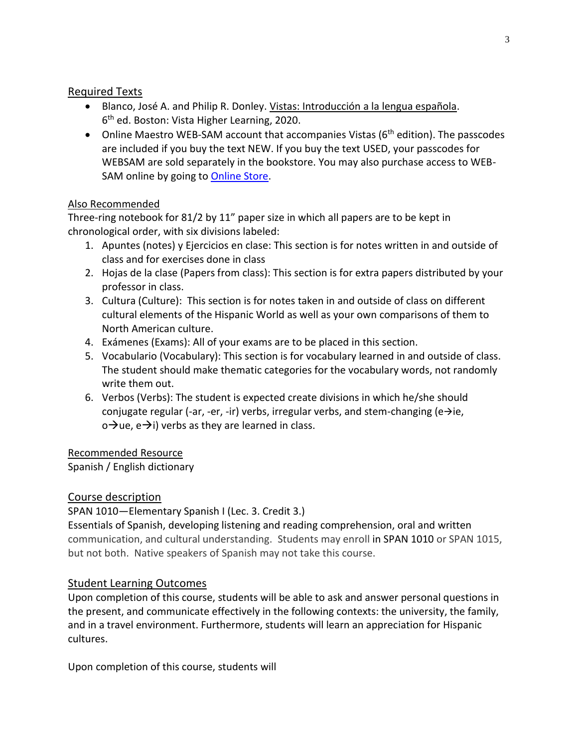### Required Texts

- Blanco, José A. and Philip R. Donley. Vistas: Introducción a la lengua española. 6<sup>th</sup> ed. Boston: Vista Higher Learning, 2020.
- Online Maestro WEB-SAM account that accompanies Vistas (6<sup>th</sup> edition). The passcodes are included if you buy the text NEW. If you buy the text USED, your passcodes for WEBSAM are sold separately in the bookstore. You may also purchase access to WEB-SAM online by going to [Online Store.](http://vistahigherlearning.com/store/tntech.htm/)

### Also Recommended

Three-ring notebook for 81/2 by 11" paper size in which all papers are to be kept in chronological order, with six divisions labeled:

- 1. Apuntes (notes) y Ejercicios en clase: This section is for notes written in and outside of class and for exercises done in class
- 2. Hojas de la clase (Papers from class): This section is for extra papers distributed by your professor in class.
- 3. Cultura (Culture): This section is for notes taken in and outside of class on different cultural elements of the Hispanic World as well as your own comparisons of them to North American culture.
- 4. Exámenes (Exams): All of your exams are to be placed in this section.
- 5. Vocabulario (Vocabulary): This section is for vocabulary learned in and outside of class. The student should make thematic categories for the vocabulary words, not randomly write them out.
- 6. Verbos (Verbs): The student is expected create divisions in which he/she should conjugate regular (-ar, -er, -ir) verbs, irregular verbs, and stem-changing (e $\rightarrow$ ie,  $\circ \rightarrow$ ue, e $\rightarrow$ i) verbs as they are learned in class.

### Recommended Resource

Spanish / English dictionary

# Course description

SPAN 1010—Elementary Spanish I (Lec. 3. Credit 3.)

Essentials of Spanish, developing listening and reading comprehension, oral and written communication, and cultural understanding. Students may enroll in SPAN 1010 or SPAN 1015, but not both. Native speakers of Spanish may not take this course.

# Student Learning Outcomes

Upon completion of this course, students will be able to ask and answer personal questions in the present, and communicate effectively in the following contexts: the university, the family, and in a travel environment. Furthermore, students will learn an appreciation for Hispanic cultures.

Upon completion of this course, students will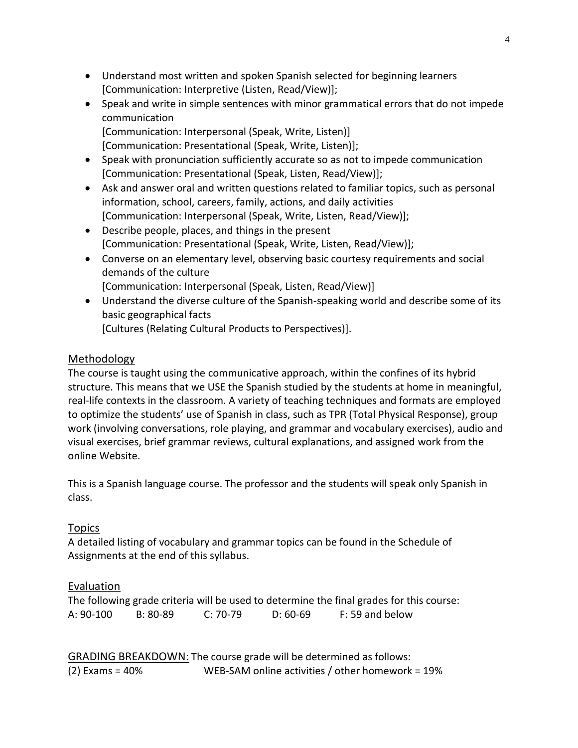- Understand most written and spoken Spanish selected for beginning learners [Communication: Interpretive (Listen, Read/View)];
- Speak and write in simple sentences with minor grammatical errors that do not impede communication [Communication: Interpersonal (Speak, Write, Listen)] [Communication: Presentational (Speak, Write, Listen)];
- Speak with pronunciation sufficiently accurate so as not to impede communication [Communication: Presentational (Speak, Listen, Read/View)];
- Ask and answer oral and written questions related to familiar topics, such as personal information, school, careers, family, actions, and daily activities [Communication: Interpersonal (Speak, Write, Listen, Read/View)];
- Describe people, places, and things in the present [Communication: Presentational (Speak, Write, Listen, Read/View)];
- Converse on an elementary level, observing basic courtesy requirements and social demands of the culture [Communication: Interpersonal (Speak, Listen, Read/View)]
- Understand the diverse culture of the Spanish-speaking world and describe some of its basic geographical facts [Cultures (Relating Cultural Products to Perspectives)].

### Methodology

The course is taught using the communicative approach, within the confines of its hybrid structure. This means that we USE the Spanish studied by the students at home in meaningful, real-life contexts in the classroom. A variety of teaching techniques and formats are employed to optimize the students' use of Spanish in class, such as TPR (Total Physical Response), group work (involving conversations, role playing, and grammar and vocabulary exercises), audio and visual exercises, brief grammar reviews, cultural explanations, and assigned work from the online Website.

This is a Spanish language course. The professor and the students will speak only Spanish in class.

# Topics

A detailed listing of vocabulary and grammar topics can be found in the Schedule of Assignments at the end of this syllabus.

# Evaluation

The following grade criteria will be used to determine the final grades for this course: A: 90-100 B: 80-89 C: 70-79 D: 60-69 F: 59 and below

GRADING BREAKDOWN: The course grade will be determined as follows: (2) Exams = 40% WEB-SAM online activities / other homework = 19%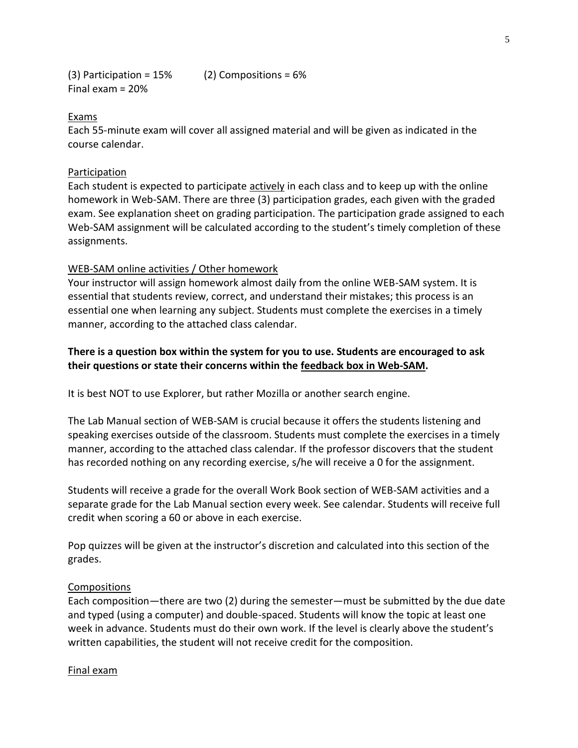(3) Participation =  $15\%$  (2) Compositions =  $6\%$ Final exam = 20%

#### Exams

Each 55-minute exam will cover all assigned material and will be given as indicated in the course calendar.

#### Participation

Each student is expected to participate **actively** in each class and to keep up with the online homework in Web-SAM. There are three (3) participation grades, each given with the graded exam. See explanation sheet on grading participation. The participation grade assigned to each Web-SAM assignment will be calculated according to the student's timely completion of these assignments.

#### WEB-SAM online activities / Other homework

Your instructor will assign homework almost daily from the online WEB-SAM system. It is essential that students review, correct, and understand their mistakes; this process is an essential one when learning any subject. Students must complete the exercises in a timely manner, according to the attached class calendar.

### **There is a question box within the system for you to use. Students are encouraged to ask their questions or state their concerns within the feedback box in Web-SAM.**

It is best NOT to use Explorer, but rather Mozilla or another search engine.

The Lab Manual section of WEB-SAM is crucial because it offers the students listening and speaking exercises outside of the classroom. Students must complete the exercises in a timely manner, according to the attached class calendar. If the professor discovers that the student has recorded nothing on any recording exercise, s/he will receive a 0 for the assignment.

Students will receive a grade for the overall Work Book section of WEB-SAM activities and a separate grade for the Lab Manual section every week. See calendar. Students will receive full credit when scoring a 60 or above in each exercise.

Pop quizzes will be given at the instructor's discretion and calculated into this section of the grades.

#### **Compositions**

Each composition—there are two (2) during the semester—must be submitted by the due date and typed (using a computer) and double-spaced. Students will know the topic at least one week in advance. Students must do their own work. If the level is clearly above the student's written capabilities, the student will not receive credit for the composition.

#### Final exam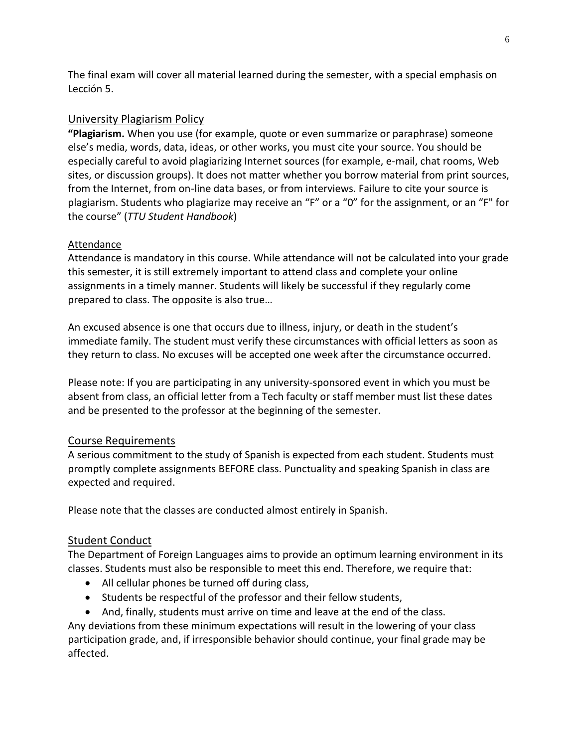The final exam will cover all material learned during the semester, with a special emphasis on Lección 5.

### University Plagiarism Policy

**"Plagiarism.** When you use (for example, quote or even summarize or paraphrase) someone else's media, words, data, ideas, or other works, you must cite your source. You should be especially careful to avoid plagiarizing Internet sources (for example, e-mail, chat rooms, Web sites, or discussion groups). It does not matter whether you borrow material from print sources, from the Internet, from on-line data bases, or from interviews. Failure to cite your source is plagiarism. Students who plagiarize may receive an "F" or a "0" for the assignment, or an "F" for the course" (*TTU Student Handbook*)

### **Attendance**

Attendance is mandatory in this course. While attendance will not be calculated into your grade this semester, it is still extremely important to attend class and complete your online assignments in a timely manner. Students will likely be successful if they regularly come prepared to class. The opposite is also true…

An excused absence is one that occurs due to illness, injury, or death in the student's immediate family. The student must verify these circumstances with official letters as soon as they return to class. No excuses will be accepted one week after the circumstance occurred.

Please note: If you are participating in any university-sponsored event in which you must be absent from class, an official letter from a Tech faculty or staff member must list these dates and be presented to the professor at the beginning of the semester.

### Course Requirements

A serious commitment to the study of Spanish is expected from each student. Students must promptly complete assignments **BEFORE** class. Punctuality and speaking Spanish in class are expected and required.

Please note that the classes are conducted almost entirely in Spanish.

### Student Conduct

The Department of Foreign Languages aims to provide an optimum learning environment in its classes. Students must also be responsible to meet this end. Therefore, we require that:

- All cellular phones be turned off during class,
- Students be respectful of the professor and their fellow students,
- And, finally, students must arrive on time and leave at the end of the class.

Any deviations from these minimum expectations will result in the lowering of your class participation grade, and, if irresponsible behavior should continue, your final grade may be affected.